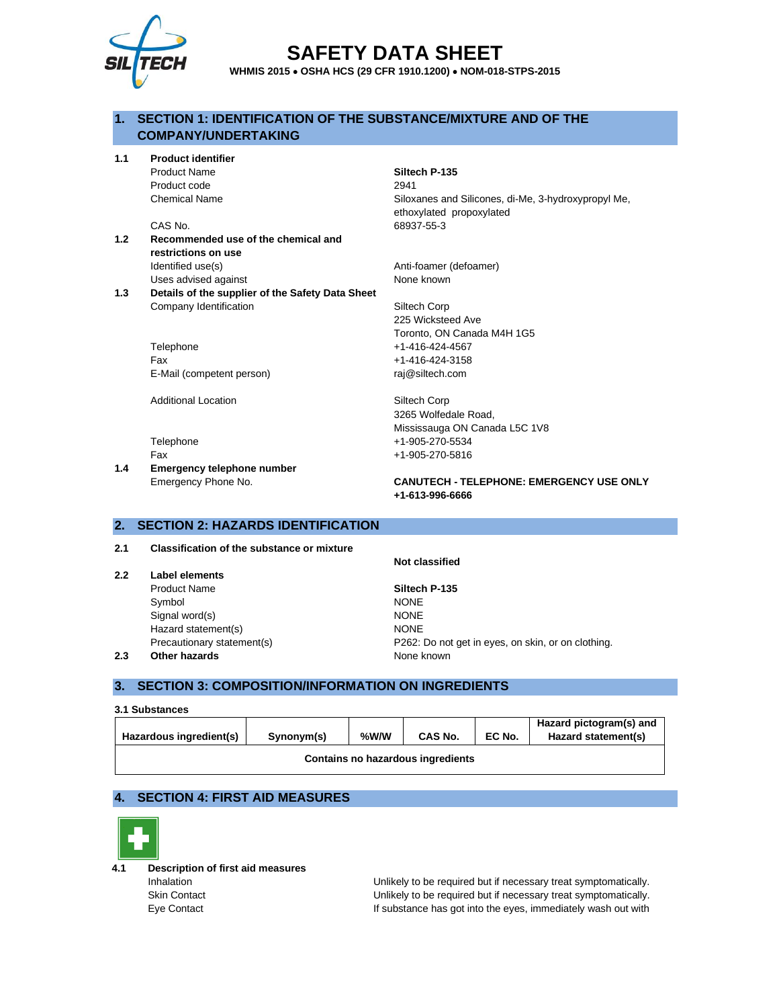

# **SAFETY DATA SHEET**

**WHMIS 2015** • **OSHA HCS (29 CFR 1910.1200)** • **NOM-018-STPS-2015**

# **1. SECTION 1: IDENTIFICATION OF THE SUBSTANCE/MIXTURE AND OF THE COMPANY/UNDERTAKING**

**1.1 Product identifier**

Product code 2941

- **1.2 Recommended use of the chemical and restrictions on use** Identified use(s) and a set of the Anti-foamer (defoamer) Uses advised against None known
- **1.3 Details of the supplier of the Safety Data Sheet** Company Identification Siltech Corp

Telephone +1-416-424-4567 Fax +1-416-424-3158 E-Mail (competent person) raj@siltech.com

Additional Location **Siltech Corp** 

**1.4 Emergency telephone number**

Product Name **Siltech P-135** 

Chemical Name Siloxanes and Silicones, di-Me, 3-hydroxypropyl Me, ethoxylated propoxylated CAS No. 68937-55-3

225 Wicksteed Ave Toronto, ON Canada M4H 1G5

3265 Wolfedale Road, Mississauga ON Canada L5C 1V8 Telephone +1-905-270-5534 Fax +1-905-270-5816

Emergency Phone No. **CANUTECH - TELEPHONE: EMERGENCY USE ONLY +1-613-996-6666**

#### **2. SECTION 2: HAZARDS IDENTIFICATION**

**2.1 Classification of the substance or mixture**

- **2.2 Label elements**
	- Product Name **Siltech P-135** Symbol NONE Signal word(s) NONE Hazard statement(s) NONE

**Not classified**

Precautionary statement(s) P262: Do not get in eyes, on skin, or on clothing. **2.3 Other hazards None known** 

# **3. SECTION 3: COMPOSITION/INFORMATION ON INGREDIENTS**

| 3.1 Substances                    |            |      |                |        |                         |
|-----------------------------------|------------|------|----------------|--------|-------------------------|
|                                   |            |      |                |        | Hazard pictogram(s) and |
| Hazardous ingredient(s)           | Synonym(s) | %W/W | <b>CAS No.</b> | EC No. | Hazard statement(s)     |
| Contains no hazardous ingredients |            |      |                |        |                         |

# **4. SECTION 4: FIRST AID MEASURES**



**4.1 Description of first aid measures**

Inhalation **Interpretent Conducts** Unlikely to be required but if necessary treat symptomatically. Skin Contact Unlikely to be required but if necessary treat symptomatically. Eye Contact If substance has got into the eyes, immediately wash out with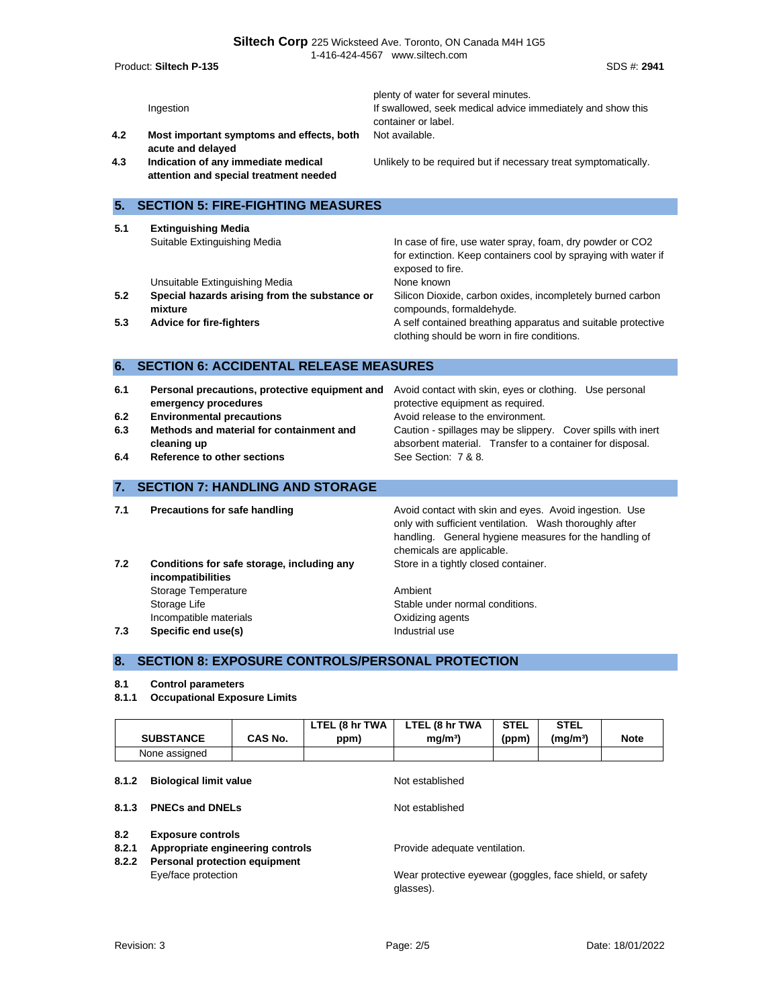| Product: Siltech P-135                                                                                                                    |                                                                                            | 1-416-424-4567 www.siltech.com<br>SDS #: 2941                                                                                                                                                                                                                                         |  |
|-------------------------------------------------------------------------------------------------------------------------------------------|--------------------------------------------------------------------------------------------|---------------------------------------------------------------------------------------------------------------------------------------------------------------------------------------------------------------------------------------------------------------------------------------|--|
| Ingestion<br>4.2<br>acute and delayed                                                                                                     | Most important symptoms and effects, both                                                  | plenty of water for several minutes.<br>If swallowed, seek medical advice immediately and show this<br>container or label.<br>Not available.                                                                                                                                          |  |
| Indication of any immediate medical<br>4.3<br>attention and special treatment needed                                                      |                                                                                            | Unlikely to be required but if necessary treat symptomatically.                                                                                                                                                                                                                       |  |
| 5.                                                                                                                                        | <b>SECTION 5: FIRE-FIGHTING MEASURES</b>                                                   |                                                                                                                                                                                                                                                                                       |  |
| 5.1<br><b>Extinguishing Media</b><br>Suitable Extinguishing Media                                                                         |                                                                                            | In case of fire, use water spray, foam, dry powder or CO2<br>for extinction. Keep containers cool by spraying with water if<br>exposed to fire.                                                                                                                                       |  |
| Unsuitable Extinguishing Media<br>5.2<br>mixture                                                                                          | Special hazards arising from the substance or                                              | None known<br>Silicon Dioxide, carbon oxides, incompletely burned carbon<br>compounds, formaldehyde.                                                                                                                                                                                  |  |
| 5.3<br><b>Advice for fire-fighters</b>                                                                                                    |                                                                                            | A self contained breathing apparatus and suitable protective<br>clothing should be worn in fire conditions.                                                                                                                                                                           |  |
| 6.                                                                                                                                        | <b>SECTION 6: ACCIDENTAL RELEASE MEASURES</b>                                              |                                                                                                                                                                                                                                                                                       |  |
| 6.1<br>emergency procedures<br><b>Environmental precautions</b><br>6.2<br>6.3<br>cleaning up<br><b>Reference to other sections</b><br>6.4 | Personal precautions, protective equipment and<br>Methods and material for containment and | Avoid contact with skin, eyes or clothing. Use personal<br>protective equipment as required.<br>Avoid release to the environment.<br>Caution - spillages may be slippery. Cover spills with inert<br>absorbent material. Transfer to a container for disposal.<br>See Section: 7 & 8. |  |
| 7.                                                                                                                                        | <b>SECTION 7: HANDLING AND STORAGE</b>                                                     |                                                                                                                                                                                                                                                                                       |  |
| 7.1<br>Precautions for safe handling                                                                                                      |                                                                                            | Avoid contact with skin and eyes. Avoid ingestion. Use<br>only with sufficient ventilation. Wash thoroughly after<br>handling. General hygiene measures for the handling of<br>chemicals are applicable.                                                                              |  |
| 7.2<br>incompatibilities<br>Storage Temperature<br>Storage Life<br>Incompatible materials                                                 | Conditions for safe storage, including any                                                 | Store in a tightly closed container.<br>Ambient<br>Stable under normal conditions.<br>Oxidizing agents                                                                                                                                                                                |  |

**7.3 Specific end use(s) Industrial use** 

# **8. SECTION 8: EXPOSURE CONTROLS/PERSONAL PROTECTION**

#### **8.1 Control parameters**

**8.1.1 Occupational Exposure Limits**

|                       | <b>SUBSTANCE</b>                                                                                     | CAS No. | LTEL (8 hr TWA<br>ppm) | LTEL (8 hr TWA<br>mg/m <sup>3</sup>                | <b>STEL</b><br>(ppm) | <b>STEL</b><br>(mg/m <sup>3</sup> ) | <b>Note</b> |
|-----------------------|------------------------------------------------------------------------------------------------------|---------|------------------------|----------------------------------------------------|----------------------|-------------------------------------|-------------|
|                       | None assigned                                                                                        |         |                        |                                                    |                      |                                     |             |
| 8.1.2                 | <b>Biological limit value</b>                                                                        |         |                        | Not established                                    |                      |                                     |             |
| 8.1.3                 | <b>PNECs and DNELs</b>                                                                               |         |                        | Not established                                    |                      |                                     |             |
| 8.2<br>8.2.1<br>8.2.2 | <b>Exposure controls</b><br>Appropriate engineering controls<br><b>Personal protection equipment</b> |         |                        | Provide adequate ventilation.<br>$\cdots$ $\cdots$ |                      | .                                   |             |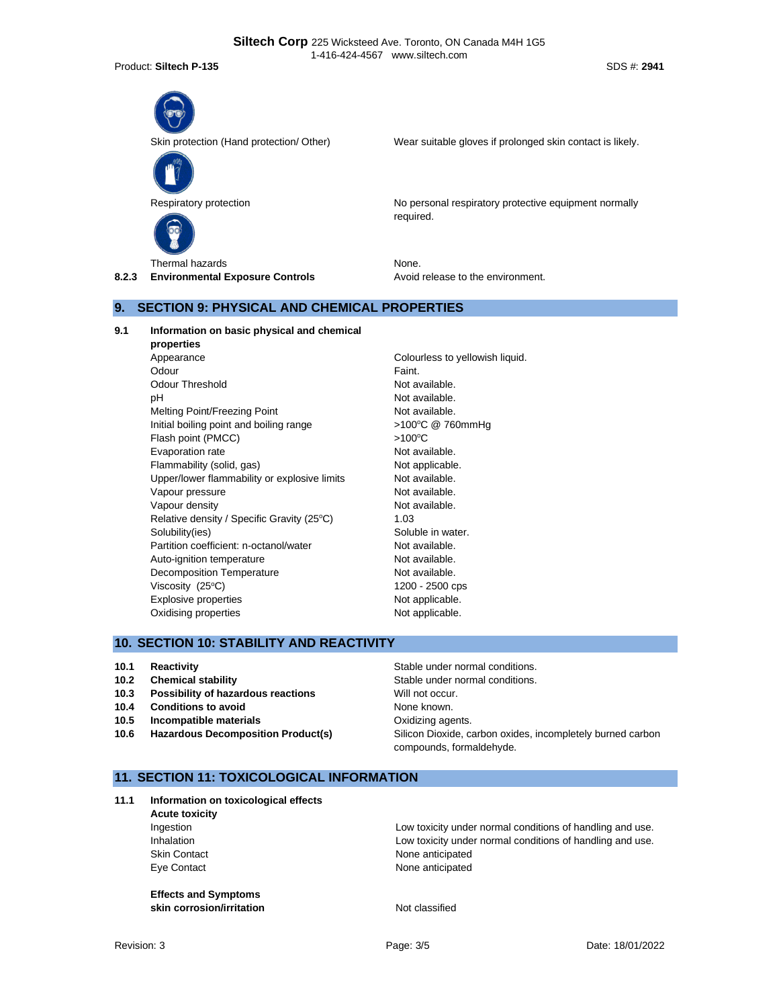Product: **Siltech P-135** SDS #: 2941



Skin protection (Hand protection/ Other) Wear suitable gloves if prolonged skin contact is likely.



Respiratory protection **No personal respiratory protective equipment normally** No personal respiratory protective equipment normally required.

Thermal hazards None. **8.2.3 Environmental Exposure Controls Avoid release to the environment.** 

# **9. SECTION 9: PHYSICAL AND CHEMICAL PROPERTIES**

**9.1 Information on basic physical and chemical** 

**properties** Appearance **Colourless** to yellowish liquid. Odour **Faint.** Odour Threshold Not available. pH Not available. Melting Point/Freezing Point Not available. Initial boiling point and boiling range  $>100^{\circ}C$  @ 760mmHg Flash point (PMCC)  $>100^{\circ}$ C Evaporation rate **Not available**. Flammability (solid, gas) Not applicable. Upper/lower flammability or explosive limits Not available. Vapour pressure and a series are not available. Vapour density and the set of the Not available. Relative density / Specific Gravity (25°C) 1.03 Solubility(ies) Soluble in water. Partition coefficient: n-octanol/water Not available. Auto-ignition temperature Not available. Decomposition Temperature Not available. Viscosity  $(25^{\circ}\text{C})$  1200 - 2500 cps Explosive properties Not applicable. Oxidising properties Not applicable.

# **10. SECTION 10: STABILITY AND REACTIVITY**

- **10.1 Reactivity 10.1 Reactivity Reactivity Reactivity Stable under normal conditions.**
- 
- **10.3 Possibility of hazardous reactions** Will not occur.
- **10.4 Conditions to avoid** None known.
- **10.5 Incompatible materials 10.5 Oxidizing agents.**
- 

**10.2 Chemical stability Chemical stability Stable under normal conditions. 10.6 Hazardous Decomposition Product(s)** Silicon Dioxide, carbon oxides, incompletely burned carbon compounds, formaldehyde.

# **11. SECTION 11: TOXICOLOGICAL INFORMATION**

**11.1 Information on toxicological effects**

**Acute toxicity**

**Effects and Symptoms skin corrosion/irritation** Not classified

Ingestion Low toxicity under normal conditions of handling and use. Inhalation **Inhalation** Low toxicity under normal conditions of handling and use. Skin Contact **None anticipated** Eye Contact **None anticipated**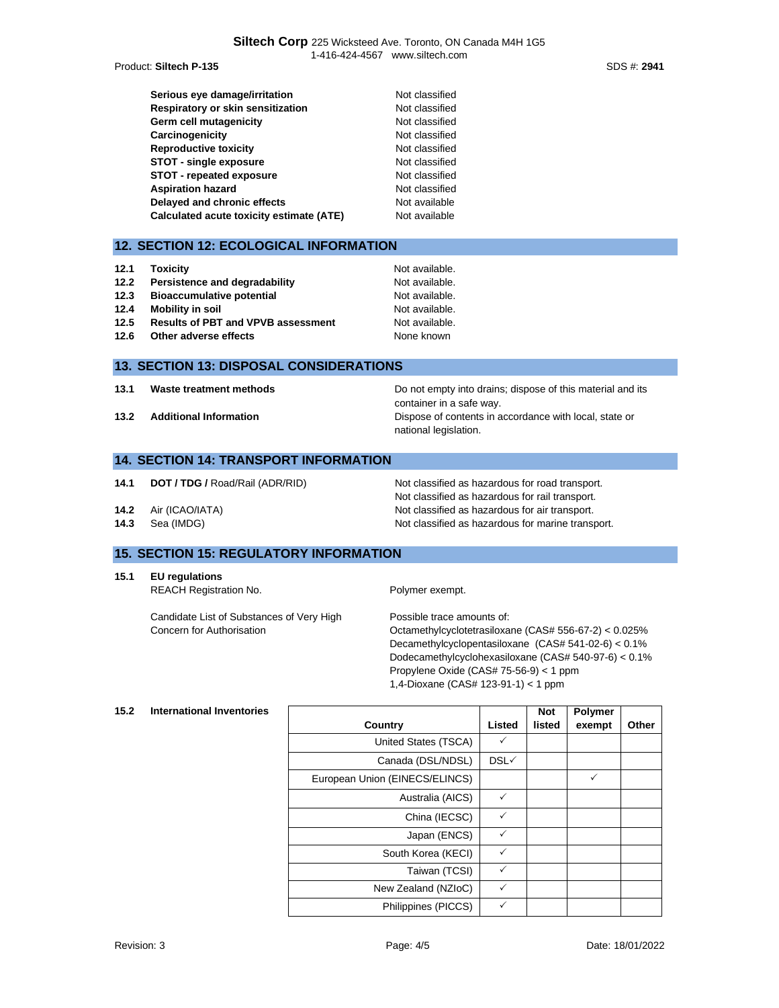**Product: Siltech P-135** 

| Serious eye damage/irritation            | Not classified |
|------------------------------------------|----------------|
| Respiratory or skin sensitization        | Not classified |
| Germ cell mutagenicity                   | Not classified |
| Carcinogenicity                          | Not classified |
| <b>Reproductive toxicity</b>             | Not classified |
| <b>STOT - single exposure</b>            | Not classified |
| STOT - repeated exposure                 | Not classified |
| <b>Aspiration hazard</b>                 | Not classified |
| Delayed and chronic effects              | Not available  |
| Calculated acute toxicity estimate (ATE) | Not available  |

# **12. SECTION 12: ECOLOGICAL INFORMATION**

| 12.1 | <b>Toxicity</b>                           | Not available. |
|------|-------------------------------------------|----------------|
| 12.2 | Persistence and degradability             | Not available. |
| 12.3 | <b>Bioaccumulative potential</b>          | Not available. |
| 12.4 | Mobility in soil                          | Not available. |
| 12.5 | <b>Results of PBT and VPVB assessment</b> | Not available. |
| 12.6 | Other adverse effects                     | None known     |

#### **13. SECTION 13: DISPOSAL CONSIDERATIONS**

**13.1 Waste treatment methods Do not empty into drains; dispose of this material and its** container in a safe way. **13.2 Additional Information 13.2 Additional Information Dispose of contents in accordance with local, state or** national legislation.

Not classified as hazardous for rail transport.

#### **14. SECTION 14: TRANSPORT INFORMATION**

- **14.1 <b>DOT / TDG /** Road/Rail (ADR/RID) Not classified as hazardous for road transport.
- **14.2** Air (ICAO/IATA) Not classified as hazardous for air transport.
- **14.3** Sea (IMDG) **Not classified as hazardous for marine transport.**

# **15. SECTION 15: REGULATORY INFORMATION**

- **15.1 EU regulations**
	- REACH Registration No. **Polymer exempt.**

Candidate List of Substances of Very High Concern for Authorisation

Possible trace amounts of: Octamethylcyclotetrasiloxane (CAS# 556-67-2) < 0.025% Decamethylcyclopentasiloxane (CAS# 541-02-6) < 0.1% Dodecamethylcyclohexasiloxane (CAS# 540-97-6) < 0.1% Propylene Oxide (CAS# 75-56-9) < 1 ppm 1,4-Dioxane (CAS# 123-91-1) < 1 ppm

#### **15.2 International Inventories**

|                                |              | <b>Not</b> | <b>Polymer</b> |       |
|--------------------------------|--------------|------------|----------------|-------|
| Country                        | Listed       | listed     | exempt         | Other |
| United States (TSCA)           | ✓            |            |                |       |
| Canada (DSL/NDSL)              | DSL√         |            |                |       |
| European Union (EINECS/ELINCS) |              |            | ✓              |       |
| Australia (AICS)               | ✓            |            |                |       |
| China (IECSC)                  | ✓            |            |                |       |
| Japan (ENCS)                   | ✓            |            |                |       |
| South Korea (KECI)             | $\checkmark$ |            |                |       |
| Taiwan (TCSI)                  | ✓            |            |                |       |
| New Zealand (NZIoC)            | ✓            |            |                |       |
| Philippines (PICCS)            | ✓            |            |                |       |